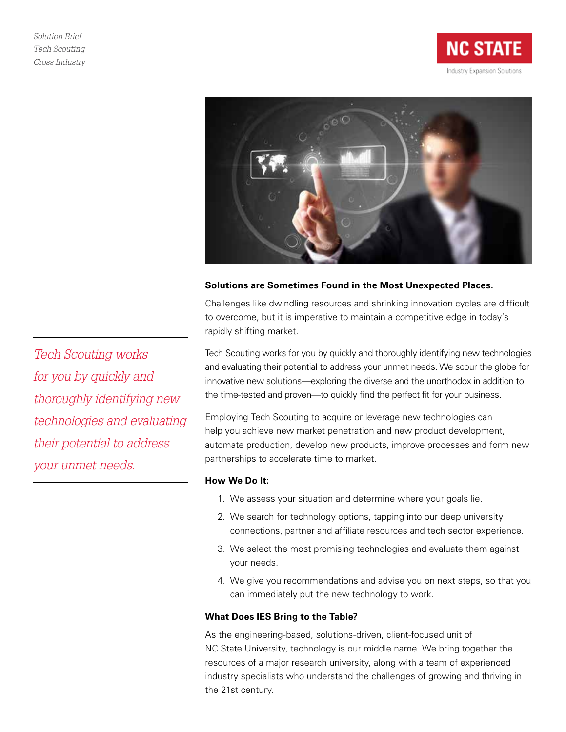



### **Solutions are Sometimes Found in the Most Unexpected Places.**

Challenges like dwindling resources and shrinking innovation cycles are difficult to overcome, but it is imperative to maintain a competitive edge in today's rapidly shifting market.

Tech Scouting works for you by quickly and thoroughly identifying new technologies and evaluating their potential to address your unmet needs. We scour the globe for innovative new solutions—exploring the diverse and the unorthodox in addition to the time-tested and proven—to quickly find the perfect fit for your business.

Employing Tech Scouting to acquire or leverage new technologies can help you achieve new market penetration and new product development, automate production, develop new products, improve processes and form new partnerships to accelerate time to market.

#### **How We Do It:**

- 1. We assess your situation and determine where your goals lie.
- 2. We search for technology options, tapping into our deep university connections, partner and affiliate resources and tech sector experience.
- 3. We select the most promising technologies and evaluate them against your needs.
- 4. We give you recommendations and advise you on next steps, so that you can immediately put the new technology to work.

#### **What Does IES Bring to the Table?**

As the engineering-based, solutions-driven, client-focused unit of NC State University, technology is our middle name. We bring together the resources of a major research university, along with a team of experienced industry specialists who understand the challenges of growing and thriving in the 21st century.

*Tech Scouting works for you by quickly and thoroughly identifying new technologies and evaluating their potential to address your unmet needs.*